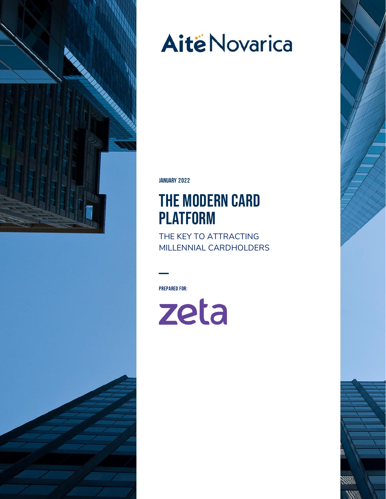

# **Aitë Novarica**

**JANUARY** 202**2**

## The Modern Card **PLATFORM**

THE KEY TO ATTRACTING MILLENNIAL CARDHOLDERS

Prepared For:

zeta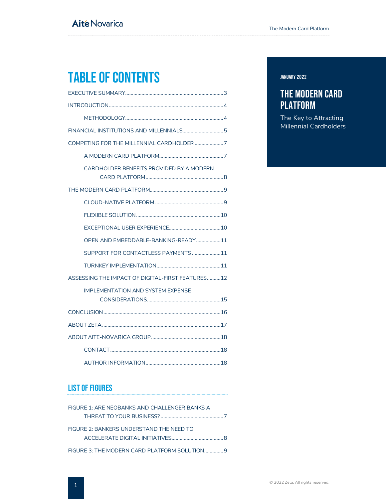## Table of Contents

| CARDHOLDER BENEFITS PROVIDED BY A MODERN         |
|--------------------------------------------------|
|                                                  |
|                                                  |
|                                                  |
|                                                  |
| OPEN AND EMBEDDABLE-BANKING-READY11              |
| SUPPORT FOR CONTACTLESS PAYMENTS 11              |
|                                                  |
| ASSESSING THE IMPACT OF DIGITAL-FIRST FEATURES12 |
| <b>IMPLEMENTATION AND SYSTEM EXPENSE</b>         |
|                                                  |
|                                                  |
|                                                  |
|                                                  |
|                                                  |

#### List of Figures

| FIGURE 1: ARE NEOBANKS AND CHALLENGER BANKS A |  |
|-----------------------------------------------|--|
|                                               |  |
| FIGURE 2: BANKERS UNDERSTAND THE NEED TO      |  |
|                                               |  |
|                                               |  |

#### **JANUARY** 202**2**

#### The Modern Card **PLATFORM**

The Key to Attracting Millennial Cardholders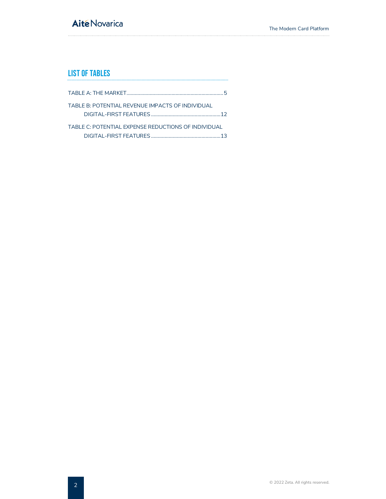### **Aité Novarica**

#### List of Tables

| TABLE B: POTENTIAL REVENUE IMPACTS OF INDIVIDUAL    |  |
|-----------------------------------------------------|--|
|                                                     |  |
| TABLE C: POTENTIAL EXPENSE REDUCTIONS OF INDIVIDUAL |  |
|                                                     |  |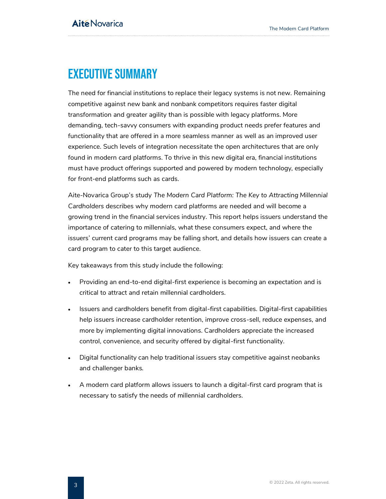## <span id="page-3-0"></span>Executive Summary

The need for financial institutions to replace their legacy systems is not new. Remaining competitive against new bank and nonbank competitors requires faster digital transformation and greater agility than is possible with legacy platforms. More demanding, tech-savvy consumers with expanding product needs prefer features and functionality that are offered in a more seamless manner as well as an improved user experience. Such levels of integration necessitate the open architectures that are only found in modern card platforms. To thrive in this new digital era, financial institutions must have product offerings supported and powered by modern technology, especially for front-end platforms such as cards.

Aite-Novarica Group's study *The Modern Card Platform: The Key to Attracting Millennial Cardholders* describes why modern card platforms are needed and will become a growing trend in the financial services industry. This report helps issuers understand the importance of catering to millennials, what these consumers expect, and where the issuers' current card programs may be falling short, and details how issuers can create a card program to cater to this target audience.

Key takeaways from this study include the following:

- Providing an end-to-end digital-first experience is becoming an expectation and is critical to attract and retain millennial cardholders.
- Issuers and cardholders benefit from digital-first capabilities. Digital-first capabilities help issuers increase cardholder retention, improve cross-sell, reduce expenses, and more by implementing digital innovations. Cardholders appreciate the increased control, convenience, and security offered by digital-first functionality.
- Digital functionality can help traditional issuers stay competitive against neobanks and challenger banks.
- A modern card platform allows issuers to launch a digital-first card program that is necessary to satisfy the needs of millennial cardholders.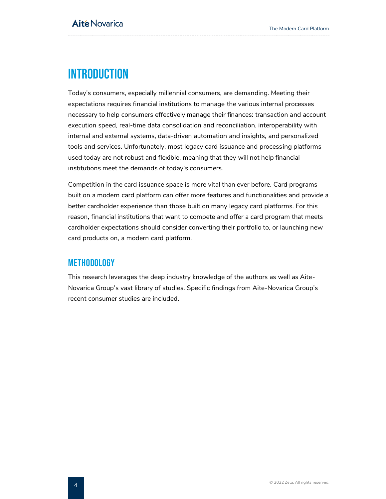## <span id="page-4-0"></span>**INTRODUCTION**

Today's consumers, especially millennial consumers, are demanding. Meeting their expectations requires financial institutions to manage the various internal processes necessary to help consumers effectively manage their finances: transaction and account execution speed, real-time data consolidation and reconciliation, interoperability with internal and external systems, data-driven automation and insights, and personalized tools and services. Unfortunately, most legacy card issuance and processing platforms used today are not robust and flexible, meaning that they will not help financial institutions meet the demands of today's consumers.

Competition in the card issuance space is more vital than ever before. Card programs built on a modern card platform can offer more features and functionalities and provide a better cardholder experience than those built on many legacy card platforms. For this reason, financial institutions that want to compete and offer a card program that meets cardholder expectations should consider converting their portfolio to, or launching new card products on, a modern card platform.

#### <span id="page-4-1"></span>**METHODOLOGY**

This research leverages the deep industry knowledge of the authors as well as Aite-Novarica Group's vast library of studies. Specific findings from Aite-Novarica Group's recent consumer studies are included.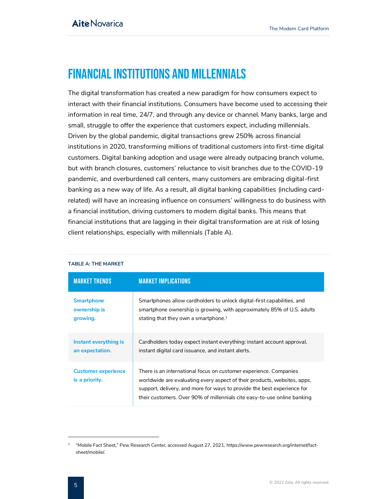## <span id="page-5-0"></span>Financial Institutions and Millennials

The digital transformation has created a new paradigm for how consumers expect to interact with their financial institutions. Consumers have become used to accessing their information in real time, 24/7, and through any device or channel. Many banks, large and small, struggle to offer the experience that customers expect, including millennials. Driven by the global pandemic, digital transactions grew 250% across financial institutions in 2020, transforming millions of traditional customers into first-time digital customers. Digital banking adoption and usage were already outpacing branch volume, but with branch closures, customers' reluctance to visit branches due to the COVID-19 pandemic, and overburdened call centers, many customers are embracing digital-first banking as a new way of life. As a result, all digital banking capabilities (including cardrelated) will have an increasing influence on consumers' willingness to do business with a financial institution, driving customers to modern digital banks. This means that financial institutions that are lagging in their digital transformation are at risk of losing client relationships, especially with millennials [\(Table A\)](#page-5-1).

| <b>MARKET TRENDS</b>                         | <b>MARKET IMPLICATIONS</b>                                                                                                                                                                                                                                                                           |
|----------------------------------------------|------------------------------------------------------------------------------------------------------------------------------------------------------------------------------------------------------------------------------------------------------------------------------------------------------|
| <b>Smartphone</b>                            | Smartphones allow cardholders to unlock digital-first capabilities, and                                                                                                                                                                                                                              |
| ownership is                                 | smartphone ownership is growing, with approximately 85% of U.S. adults                                                                                                                                                                                                                               |
| growing.                                     | stating that they own a smartphone. $1$                                                                                                                                                                                                                                                              |
| Instant everything is                        | Cardholders today expect instant everything: instant account approval,                                                                                                                                                                                                                               |
| an expectation.                              | instant digital card issuance, and instant alerts.                                                                                                                                                                                                                                                   |
| <b>Customer experience</b><br>is a priority. | There is an international focus on customer experience. Companies<br>worldwide are evaluating every aspect of their products, websites, apps,<br>support, delivery, and more for ways to provide the best experience for<br>their customers. Over 90% of millennials cite easy-to-use online banking |

#### <span id="page-5-1"></span>**TABLE A: THE MARKET**

 $^{\rm 1}$  "Mobile Fact Sheet," Pew Research Center, accessed August 27, 2021, https://www.pewresearch.org/internet/factsheet/mobile/.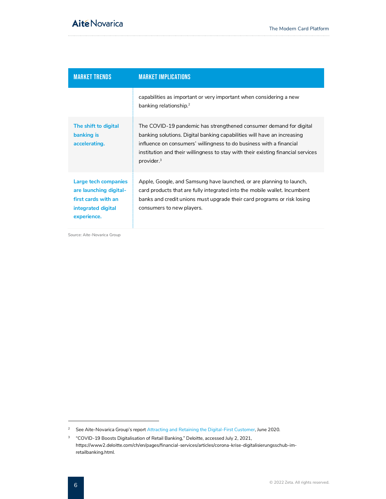| <b>MARKET TRENDS</b>                                                                                       | <b>MARKET IMPLICATIONS</b>                                                                                                                                                                                                                                                                                                         |
|------------------------------------------------------------------------------------------------------------|------------------------------------------------------------------------------------------------------------------------------------------------------------------------------------------------------------------------------------------------------------------------------------------------------------------------------------|
|                                                                                                            | capabilities as important or very important when considering a new<br>banking relationship. <sup>2</sup>                                                                                                                                                                                                                           |
| The shift to digital<br>banking is<br>accelerating.                                                        | The COVID-19 pandemic has strengthened consumer demand for digital<br>banking solutions. Digital banking capabilities will have an increasing<br>influence on consumers' willingness to do business with a financial<br>institution and their willingness to stay with their existing financial services<br>provider. <sup>3</sup> |
| Large tech companies<br>are launching digital-<br>first cards with an<br>integrated digital<br>experience. | Apple, Google, and Samsung have launched, or are planning to launch,<br>card products that are fully integrated into the mobile wallet. Incumbent<br>banks and credit unions must upgrade their card programs or risk losing<br>consumers to new players.                                                                          |

Source: Aite-Novarica Group

<sup>&</sup>lt;sup>2</sup> See Aite-Novarica Group's report [Attracting and Retaining the Digital-First Customer,](https://aitegroup.com/report/attracting-and-retaining-digital-first-customer) June 2020.

<sup>&</sup>lt;sup>3</sup> "COVID-19 Boosts Digitalisation of Retail Banking," Deloitte, accessed July 2, 2021, https://www2.deloitte.com/ch/en/pages/financial-services/articles/corona-krise-digitalisierungsschub-imretailbanking.html.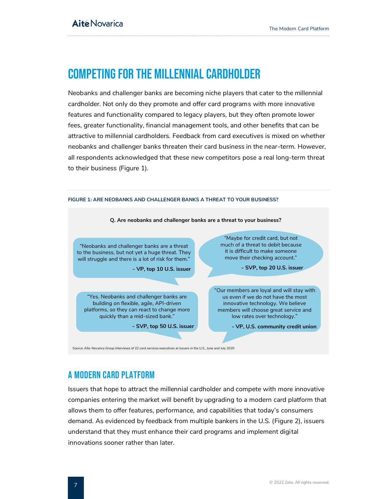## <span id="page-7-0"></span>Competing for the Millennial Cardholder

Neobanks and challenger banks are becoming niche players that cater to the millennial cardholder. Not only do they promote and offer card programs with more innovative features and functionality compared to legacy players, but they often promote lower fees, greater functionality, financial management tools, and other benefits that can be attractive to millennial cardholders. Feedback from card executives is mixed on whether neobanks and challenger banks threaten their card business in the near-term. However, all respondents acknowledged that these new competitors pose a real long-term threat to their business [\(Figure 1\)](#page-7-2).

<span id="page-7-2"></span>

#### <span id="page-7-1"></span>A modern Card platform

Issuers that hope to attract the millennial cardholder and compete with more innovative companies entering the market will benefit by upgrading to a modern card platform that allows them to offer features, performance, and capabilities that today's consumers demand. As evidenced by feedback from multiple bankers in the U.S. [\(Figure 2\)](#page-8-1), issuers understand that they must enhance their card programs and implement digital innovations sooner rather than later.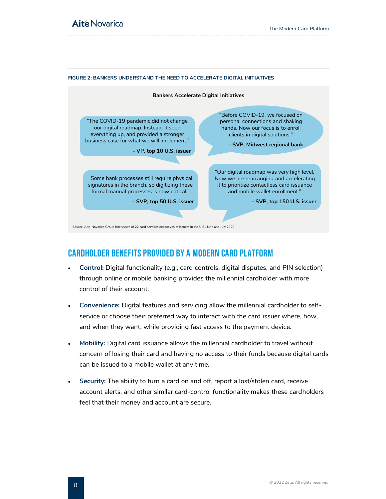

#### <span id="page-8-1"></span>**FIGURE 2: BANKERS UNDERSTAND THE NEED TO ACCELERATE DIGITAL INITIATIVES**

#### <span id="page-8-0"></span>Cardholder Benefits provided by a modern Card platform

- **Control:** Digital functionality (e.g., card controls, digital disputes, and PIN selection) through online or mobile banking provides the millennial cardholder with more control of their account.
- **Convenience:** Digital features and servicing allow the millennial cardholder to selfservice or choose their preferred way to interact with the card issuer where, how, and when they want, while providing fast access to the payment device.
- **Mobility:** Digital card issuance allows the millennial cardholder to travel without concern of losing their card and having no access to their funds because digital cards can be issued to a mobile wallet at any time.
- **Security:** The ability to turn a card on and off, report a lost/stolen card, receive account alerts, and other similar card-control functionality makes these cardholders feel that their money and account are secure.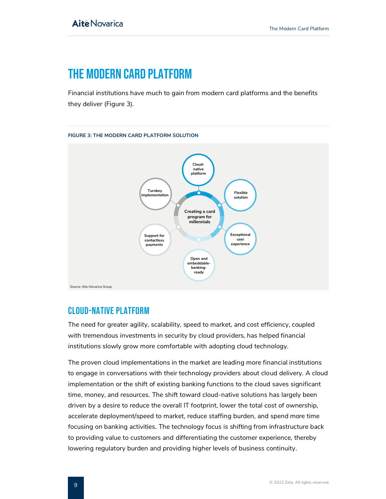## <span id="page-9-0"></span>THE MODERN CARD PLATFORM

Financial institutions have much to gain from modern card platforms and the benefits they deliver [\(Figure 3\)](#page-9-2).

<span id="page-9-2"></span>

#### <span id="page-9-1"></span>Cloud-Native platform

The need for greater agility, scalability, speed to market, and cost efficiency, coupled with tremendous investments in security by cloud providers, has helped financial institutions slowly grow more comfortable with adopting cloud technology.

The proven cloud implementations in the market are leading more financial institutions to engage in conversations with their technology providers about cloud delivery. A cloud implementation or the shift of existing banking functions to the cloud saves significant time, money, and resources. The shift toward cloud-native solutions has largely been driven by a desire to reduce the overall IT footprint, lower the total cost of ownership, accelerate deployment/speed to market, reduce staffing burden, and spend more time focusing on banking activities. The technology focus is shifting from infrastructure back to providing value to customers and differentiating the customer experience, thereby lowering regulatory burden and providing higher levels of business continuity.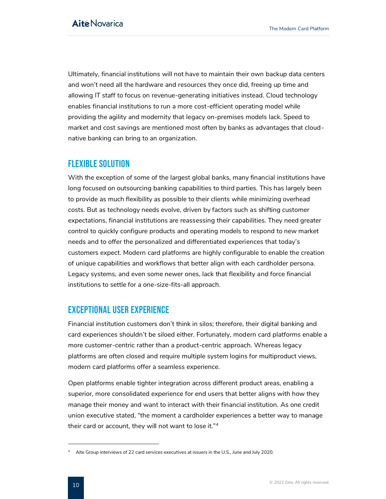Ultimately, financial institutions will not have to maintain their own backup data centers and won't need all the hardware and resources they once did, freeing up time and allowing IT staff to focus on revenue-generating initiatives instead. Cloud technology enables financial institutions to run a more cost-efficient operating model while providing the agility and modernity that legacy on-premises models lack. Speed to market and cost savings are mentioned most often by banks as advantages that cloudnative banking can bring to an organization.

#### <span id="page-10-0"></span>Flexible solution

With the exception of some of the largest global banks, many financial institutions have long focused on outsourcing banking capabilities to third parties. This has largely been to provide as much flexibility as possible to their clients while minimizing overhead costs. But as technology needs evolve, driven by factors such as shifting customer expectations, financial institutions are reassessing their capabilities. They need greater control to quickly configure products and operating models to respond to new market needs and to offer the personalized and differentiated experiences that today's customers expect. Modern card platforms are highly configurable to enable the creation of unique capabilities and workflows that better align with each cardholder persona. Legacy systems, and even some newer ones, lack that flexibility and force financial institutions to settle for a one-size-fits-all approach.

#### <span id="page-10-1"></span>Exceptional User Experience

Financial institution customers don't think in silos; therefore, their digital banking and card experiences shouldn't be siloed either. Fortunately, modern card platforms enable a more customer-centric rather than a product-centric approach. Whereas legacy platforms are often closed and require multiple system logins for multiproduct views, modern card platforms offer a seamless experience.

Open platforms enable tighter integration across different product areas, enabling a superior, more consolidated experience for end users that better aligns with how they manage their money and want to interact with their financial institution. As one credit union executive stated, "the moment a cardholder experiences a better way to manage their card or account, they will not want to lose it."<sup>4</sup>

<sup>&</sup>lt;sup>4</sup> Aite Group interviews of 22 card services executives at issuers in the U.S., June and July 2020.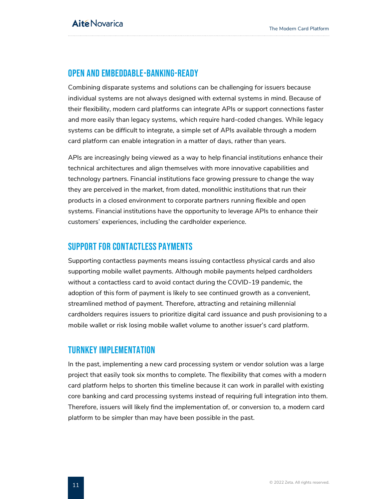#### <span id="page-11-0"></span>Open and Embeddable-Banking-ready

Combining disparate systems and solutions can be challenging for issuers because individual systems are not always designed with external systems in mind. Because of their flexibility, modern card platforms can integrate APIs or support connections faster and more easily than legacy systems, which require hard-coded changes. While legacy systems can be difficult to integrate, a simple set of APIs available through a modern card platform can enable integration in a matter of days, rather than years.

APIs are increasingly being viewed as a way to help financial institutions enhance their technical architectures and align themselves with more innovative capabilities and technology partners. Financial institutions face growing pressure to change the way they are perceived in the market, from dated, monolithic institutions that run their products in a closed environment to corporate partners running flexible and open systems. Financial institutions have the opportunity to leverage APIs to enhance their customers' experiences, including the cardholder experience.

#### <span id="page-11-1"></span>Support for COntactless Payments

Supporting contactless payments means issuing contactless physical cards and also supporting mobile wallet payments. Although mobile payments helped cardholders without a contactless card to avoid contact during the COVID-19 pandemic, the adoption of this form of payment is likely to see continued growth as a convenient, streamlined method of payment. Therefore, attracting and retaining millennial cardholders requires issuers to prioritize digital card issuance and push provisioning to a mobile wallet or risk losing mobile wallet volume to another issuer's card platform.

#### <span id="page-11-2"></span>Turnkey Implementation

In the past, implementing a new card processing system or vendor solution was a large project that easily took six months to complete. The flexibility that comes with a modern card platform helps to shorten this timeline because it can work in parallel with existing core banking and card processing systems instead of requiring full integration into them. Therefore, issuers will likely find the implementation of, or conversion to, a modern card platform to be simpler than may have been possible in the past.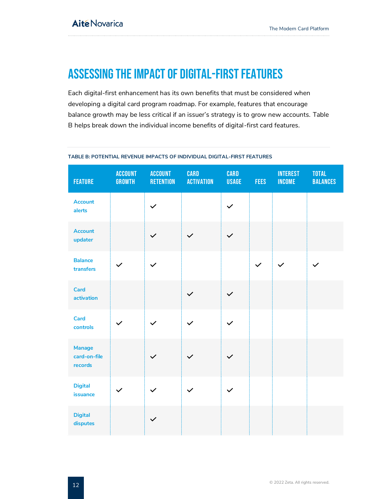## <span id="page-12-0"></span>ASSESSING THE Impact of Digital-First Features

Each digital-first enhancement has its own benefits that must be considered when developing a digital card program roadmap. For example, features that encourage balance growth may be less critical if an issuer's strategy is to grow new accounts. Table B helps break down the individual income benefits of digital-first card features.

| <b>FEATURE</b>                           | <b>ACCOUNT</b><br><b>GROWTH</b> | <b>ACCOUNT</b><br><b>RETENTION</b> | <b>CARD</b><br><b>ACTIVATION</b> | <b>CARD</b><br><b>USAGE</b> | <b>FEES</b>  | <b>INTEREST</b><br><b>INCOME</b> | <b>TOTAL</b><br><b>BALANCES</b> |
|------------------------------------------|---------------------------------|------------------------------------|----------------------------------|-----------------------------|--------------|----------------------------------|---------------------------------|
| <b>Account</b><br>alerts                 |                                 | $\checkmark$                       |                                  | $\checkmark$                |              |                                  |                                 |
| <b>Account</b><br>updater                |                                 | $\checkmark$                       | $\checkmark$                     | $\checkmark$                |              |                                  |                                 |
| <b>Balance</b><br>transfers              | $\checkmark$                    | $\checkmark$                       |                                  |                             | $\checkmark$ | $\checkmark$                     | $\checkmark$                    |
| <b>Card</b><br>activation                |                                 |                                    | $\checkmark$                     | $\checkmark$                |              |                                  |                                 |
| <b>Card</b><br>controls                  |                                 | $\checkmark$                       | $\checkmark$                     | $\checkmark$                |              |                                  |                                 |
| <b>Manage</b><br>card-on-file<br>records |                                 | $\checkmark$                       | $\checkmark$                     | $\checkmark$                |              |                                  |                                 |
| <b>Digital</b><br>issuance               | $\checkmark$                    | $\checkmark$                       | $\checkmark$                     | $\checkmark$                |              |                                  |                                 |
| <b>Digital</b><br>disputes               |                                 |                                    |                                  |                             |              |                                  |                                 |

#### <span id="page-12-1"></span>**TABLE B: POTENTIAL REVENUE IMPACTS OF INDIVIDUAL DIGITAL-FIRST FEATURES**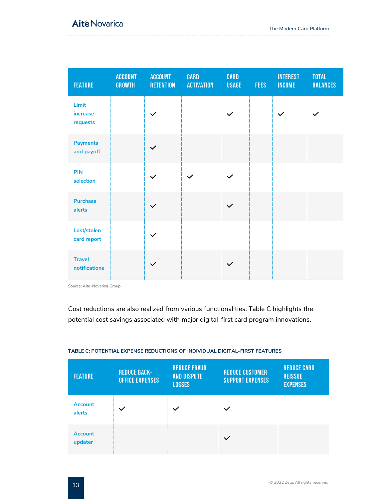| <b>FEATURE</b>                 | <b>ACCOUNT</b><br><b>GROWTH</b> | <b>ACCOUNT</b><br><b>RETENTION</b> | <b>CARD</b><br><b>ACTIVATION</b> | <b>CARD</b><br><b>USAGE</b> | <b>FEES</b> | <b>INTEREST</b><br><b>INCOME</b> | <b>TOTAL</b><br><b>BALANCES</b> |
|--------------------------------|---------------------------------|------------------------------------|----------------------------------|-----------------------------|-------------|----------------------------------|---------------------------------|
| Limit<br>increase<br>requests  |                                 | $\checkmark$                       |                                  | $\checkmark$                |             | $\checkmark$                     | $\checkmark$                    |
| <b>Payments</b><br>and payoff  |                                 |                                    |                                  |                             |             |                                  |                                 |
| <b>PIN</b><br>selection        |                                 | $\checkmark$                       | $\checkmark$                     | $\checkmark$                |             |                                  |                                 |
| <b>Purchase</b><br>alerts      |                                 | $\checkmark$                       |                                  | $\checkmark$                |             |                                  |                                 |
| Lost/stolen<br>card report     |                                 | $\checkmark$                       |                                  |                             |             |                                  |                                 |
| <b>Travel</b><br>notifications |                                 |                                    |                                  | $\checkmark$                |             |                                  |                                 |

Source: Aite-Novarica Group

Cost reductions are also realized from various functionalities. Table C highlights the potential cost savings associated with major digital-first card program innovations.

| <b>FEATURE</b>            | <b>REDUCE BACK-</b><br><b>OFFICE EXPENSES</b> | <b>REDUCE FRAUD</b><br><b>AND DISPUTE</b><br><b>LOSSES</b> | <b>REDUCE CUSTOMER</b><br><b>SUPPORT EXPENSES</b> | <b>REDUCE CARD</b><br><b>REISSUE</b><br><b>EXPENSES</b> |
|---------------------------|-----------------------------------------------|------------------------------------------------------------|---------------------------------------------------|---------------------------------------------------------|
| <b>Account</b><br>alerts  | $\checkmark$                                  | $\checkmark$                                               |                                                   |                                                         |
| <b>Account</b><br>updater |                                               |                                                            |                                                   |                                                         |

#### <span id="page-13-0"></span>**TABLE C: POTENTIAL EXPENSE REDUCTIONS OF INDIVIDUAL DIGITAL-FIRST FEATURES**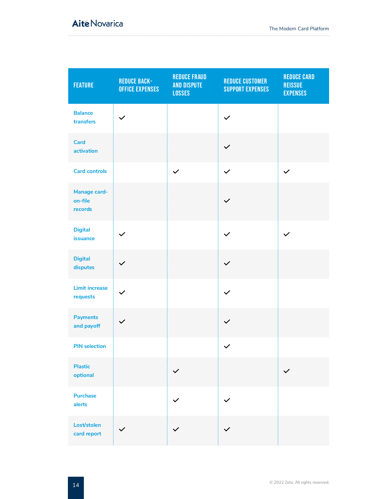### **Aité Novarica**

| <b>FEATURE</b>                     | <b>REDUCE BACK-</b><br><b>OFFICE EXPENSES</b> | <b>REDUCE FRAUD</b><br><b>AND DISPUTE</b><br><b>LOSSES</b> | <b>REDUCE CUSTOMER</b><br><b>SUPPORT EXPENSES</b> | <b>REDUCE CARD</b><br><b>REISSUE</b><br><b>EXPENSES</b> |
|------------------------------------|-----------------------------------------------|------------------------------------------------------------|---------------------------------------------------|---------------------------------------------------------|
| <b>Balance</b><br>transfers        | $\checkmark$                                  |                                                            | $\checkmark$                                      |                                                         |
| <b>Card</b><br>activation          |                                               |                                                            | $\checkmark$                                      |                                                         |
| <b>Card controls</b>               |                                               | $\checkmark$                                               | $\checkmark$                                      | $\checkmark$                                            |
| Manage card-<br>on-file<br>records |                                               |                                                            | $\checkmark$                                      |                                                         |
| <b>Digital</b><br>issuance         | $\checkmark$                                  |                                                            | $\checkmark$                                      | $\checkmark$                                            |
| <b>Digital</b><br>disputes         | $\checkmark$                                  |                                                            | $\checkmark$                                      |                                                         |
| <b>Limit increase</b><br>requests  | $\checkmark$                                  |                                                            | $\checkmark$                                      |                                                         |
| <b>Payments</b><br>and payoff      | $\checkmark$                                  |                                                            | $\checkmark$                                      |                                                         |
| <b>PIN selection</b>               |                                               |                                                            | $\checkmark$                                      |                                                         |
| <b>Plastic</b><br>optional         |                                               | $\checkmark$                                               |                                                   | $\checkmark$                                            |
| <b>Purchase</b><br>alerts          |                                               | $\checkmark$                                               | $\checkmark$                                      |                                                         |
| Lost/stolen<br>card report         | $\checkmark$                                  | $\checkmark$                                               |                                                   |                                                         |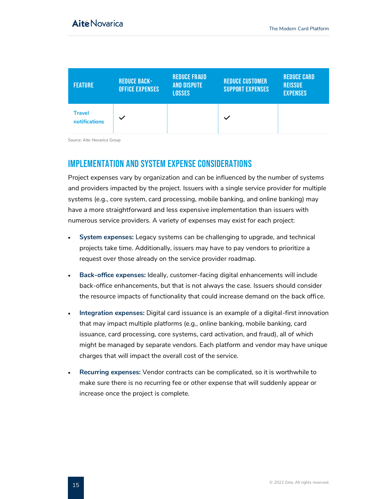| <b>FEATURE</b>                 | <b>REDUCE BACK-</b><br><b>OFFICE EXPENSES</b> | <b>REDUCE FRAUD</b><br><b>AND DISPUTE</b><br><b>LOSSES</b> | <b>REDUCE CUSTOMER</b><br><b>SUPPORT EXPENSES</b> | <b>REDUCE CARD</b><br><b>REISSUE</b><br><b>EXPENSES</b> |
|--------------------------------|-----------------------------------------------|------------------------------------------------------------|---------------------------------------------------|---------------------------------------------------------|
| <b>Travel</b><br>notifications | $\checkmark$                                  |                                                            | $\checkmark$                                      |                                                         |

Source: Aite-Novarica Group

#### <span id="page-15-0"></span>Implementation And System Expense Considerations

Project expenses vary by organization and can be influenced by the number of systems and providers impacted by the project. Issuers with a single service provider for multiple systems (e.g., core system, card processing, mobile banking, and online banking) may have a more straightforward and less expensive implementation than issuers with numerous service providers. A variety of expenses may exist for each project:

- **System expenses:** Legacy systems can be challenging to upgrade, and technical projects take time. Additionally, issuers may have to pay vendors to prioritize a request over those already on the service provider roadmap.
- **Back-office expenses:** Ideally, customer-facing digital enhancements will include back-office enhancements, but that is not always the case. Issuers should consider the resource impacts of functionality that could increase demand on the back office.
- **Integration expenses:** Digital card issuance is an example of a digital-first innovation that may impact multiple platforms (e.g., online banking, mobile banking, card issuance, card processing, core systems, card activation, and fraud), all of which might be managed by separate vendors. Each platform and vendor may have unique charges that will impact the overall cost of the service.
- **Recurring expenses:** Vendor contracts can be complicated, so it is worthwhile to make sure there is no recurring fee or other expense that will suddenly appear or increase once the project is complete.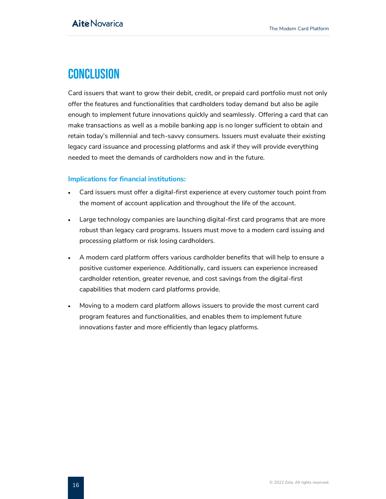## <span id="page-16-0"></span>**CONCLUSION**

Card issuers that want to grow their debit, credit, or prepaid card portfolio must not only offer the features and functionalities that cardholders today demand but also be agile enough to implement future innovations quickly and seamlessly. Offering a card that can make transactions as well as a mobile banking app is no longer sufficient to obtain and retain today's millennial and tech-savvy consumers. Issuers must evaluate their existing legacy card issuance and processing platforms and ask if they will provide everything needed to meet the demands of cardholders now and in the future.

#### **Implications for financial institutions:**

- Card issuers must offer a digital-first experience at every customer touch point from the moment of account application and throughout the life of the account.
- Large technology companies are launching digital-first card programs that are more robust than legacy card programs. Issuers must move to a modern card issuing and processing platform or risk losing cardholders.
- A modern card platform offers various cardholder benefits that will help to ensure a positive customer experience. Additionally, card issuers can experience increased cardholder retention, greater revenue, and cost savings from the digital-first capabilities that modern card platforms provide.
- Moving to a modern card platform allows issuers to provide the most current card program features and functionalities, and enables them to implement future innovations faster and more efficiently than legacy platforms.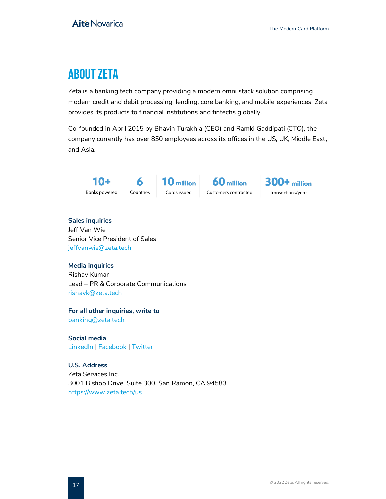## <span id="page-17-0"></span>About ZETA

Zeta is a banking tech company providing a modern omni stack solution comprising modern credit and debit processing, lending, core banking, and mobile experiences. Zeta provides its products to financial institutions and fintechs globally.

Co-founded in April 2015 by Bhavin Turakhia (CEO) and Ramki Gaddipati (CTO), the company currently has over 850 employees across its offices in the US, UK, Middle East, and Asia.



6  $10$  million Countries Cards issued

60 million Customers contracted **300+** million Transactions/year

#### **Sales inquiries** Jeff Van Wie Senior Vice President of Sales

[jeffvanwie@zeta.tech](mailto:jeffvanwie@zeta.tech)

#### **Media inquiries**

Rishav Kumar Lead – PR & Corporate Communications [rishavk@zeta.tech](mailto:rishavk@zeta.tech)

#### **For all other inquiries, write to**

[banking@zeta.tech](mailto:banking@zeta.tech)

**Social media** [LinkedIn](https://www.linkedin.com/company/zetasuite/) | [Facebook](https://www.facebook.com/Zetasuite1/) | [Twitter](https://twitter.com/zetasuite)

#### **U.S. Address**

Zeta Services Inc. 3001 Bishop Drive, Suite 300. San Ramon, CA 94583 <https://www.zeta.tech/us>